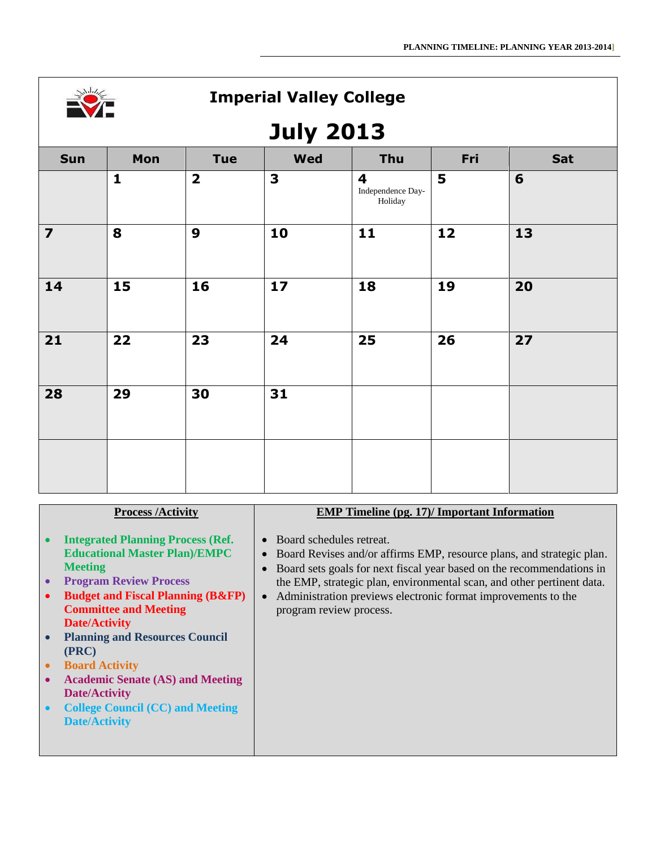

# **July 2013**

| Sun                     | Mon          | <b>Tue</b>              | <b>Wed</b>   | Thu                                                     | Fri | <b>Sat</b> |  |  |
|-------------------------|--------------|-------------------------|--------------|---------------------------------------------------------|-----|------------|--|--|
|                         | $\mathbf{1}$ | $\overline{\mathbf{2}}$ | $\mathbf{3}$ | $\overline{\mathbf{4}}$<br>Independence Day-<br>Holiday | 5   | 6          |  |  |
| $\overline{\mathbf{z}}$ | 8            | $\boldsymbol{9}$        | 10           | 11                                                      | 12  | 13         |  |  |
| 14                      | 15           | 16                      | 17           | 18                                                      | 19  | 20         |  |  |
| 21                      | 22           | 23                      | 24           | 25                                                      | 26  | 27         |  |  |
| 28                      | 29           | 30                      | 31           |                                                         |     |            |  |  |
|                         |              |                         |              |                                                         |     |            |  |  |

|  |  | <b>Process /Activity</b> |
|--|--|--------------------------|
|--|--|--------------------------|

- **Integrated Planning Process (Ref. Educational Master Plan)/EMPC Meeting**
- **Program Review Process**
- **•** Budget and Fiscal Planning (B&FP) **Committee and Meeting Date/Activity**
- **Planning and Resources Council (PRC)**
- **•** Board Activity
- **Academic Senate (AS) and Meeting Date/Activity**
- **College Council (CC) and Meeting Date/Activity**

#### **EMP Timeline (pg. 17)/ Important Information**

- Board schedules retreat.
- Board Revises and/or affirms EMP, resource plans, and strategic plan.
- Board sets goals for next fiscal year based on the recommendations in the EMP, strategic plan, environmental scan, and other pertinent data.
- Administration previews electronic format improvements to the program review process.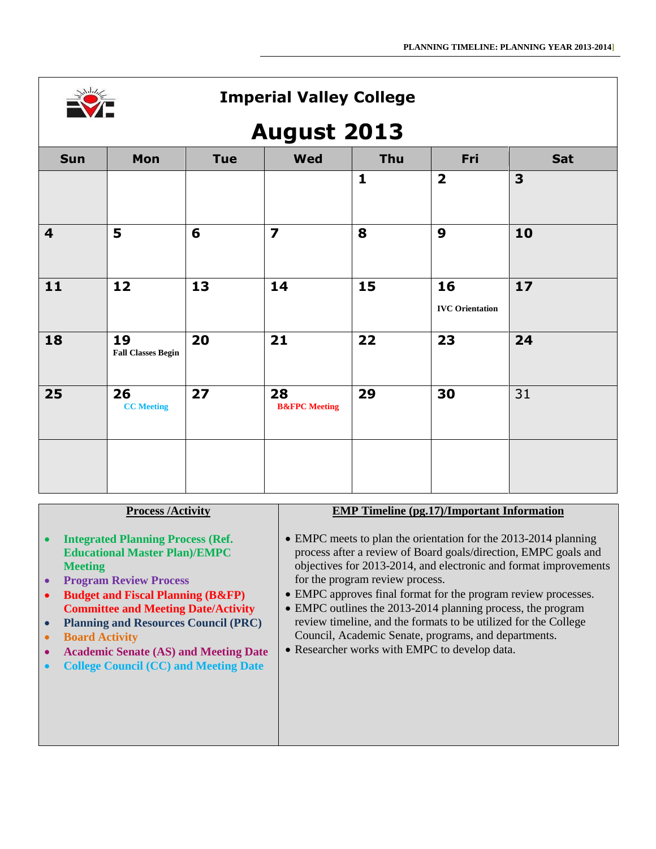

## **August 2013**

|                         |                                 |                 | $\tilde{\phantom{a}}$          |              |                              |              |
|-------------------------|---------------------------------|-----------------|--------------------------------|--------------|------------------------------|--------------|
| <b>Sun</b>              | Mon                             | <b>Tue</b>      | <b>Wed</b>                     | Thu          | Fri                          | Sat          |
|                         |                                 |                 |                                | $\mathbf{1}$ | $\overline{\mathbf{2}}$      | $\mathbf{3}$ |
| $\overline{\mathbf{4}}$ | 5                               | $6\phantom{1}6$ | $\overline{\mathbf{z}}$        | 8            | $\boldsymbol{9}$             | 10           |
| 11                      | 12                              | 13              | 14                             | 15           | 16<br><b>IVC</b> Orientation | 17           |
| 18                      | 19<br><b>Fall Classes Begin</b> | 20              | 21                             | 22           | 23                           | 24           |
| 25                      | 26<br><b>CC</b> Meeting         | 27              | 28<br><b>B&amp;FPC</b> Meeting | 29           | 30                           | 31           |
|                         |                                 |                 |                                |              |                              |              |

#### **Process /Activity**

- **Integrated Planning Process (Ref. Educational Master Plan)/EMPC Meeting**
- **Program Review Process**
- **Budget and Fiscal Planning (B&FP) Committee and Meeting Date/Activity**
- **Planning and Resources Council (PRC)**
- **Board Activity**
- **Academic Senate (AS) and Meeting Date**
- **College Council (CC) and Meeting Date**

#### **EMP Timeline (pg.17)/Important Information**

- EMPC meets to plan the orientation for the 2013-2014 planning process after a review of Board goals/direction, EMPC goals and objectives for 2013-2014, and electronic and format improvements for the program review process.
- EMPC approves final format for the program review processes.
- EMPC outlines the 2013-2014 planning process, the program review timeline, and the formats to be utilized for the College Council, Academic Senate, programs, and departments.
- Researcher works with EMPC to develop data.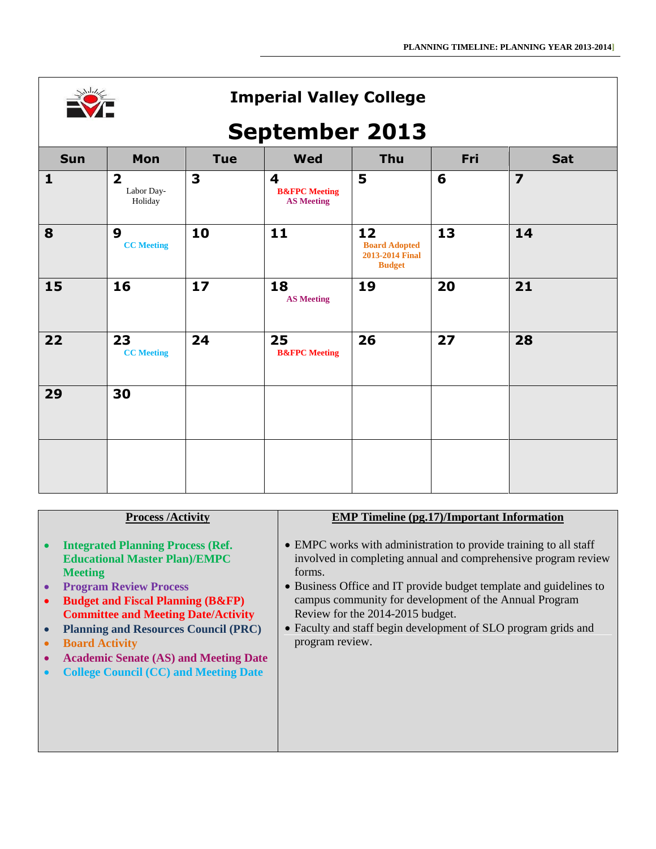

## **September 2013**

|              | r                                                |            |                                                                          |                                                                |     |                         |  |  |  |
|--------------|--------------------------------------------------|------------|--------------------------------------------------------------------------|----------------------------------------------------------------|-----|-------------------------|--|--|--|
| <b>Sun</b>   | Mon                                              | <b>Tue</b> | <b>Wed</b>                                                               | Thu                                                            | Fri | Sat                     |  |  |  |
| $\mathbf{1}$ | $\overline{\mathbf{2}}$<br>Labor Day-<br>Holiday | 3          | $\overline{\mathbf{4}}$<br><b>B&amp;FPC</b> Meeting<br><b>AS Meeting</b> | 5                                                              | 6   | $\overline{\mathbf{z}}$ |  |  |  |
| 8            | $\boldsymbol{9}$<br><b>CC</b> Meeting            | 10         | 11                                                                       | 12<br><b>Board Adopted</b><br>2013-2014 Final<br><b>Budget</b> | 13  | 14                      |  |  |  |
| 15           | 16                                               | 17         | 18<br><b>AS Meeting</b>                                                  | 19                                                             | 20  | 21                      |  |  |  |
| 22           | 23<br><b>CC</b> Meeting                          | 24         | 25<br><b>B&amp;FPC</b> Meeting                                           | 26                                                             | 27  | 28                      |  |  |  |
| 29           | 30                                               |            |                                                                          |                                                                |     |                         |  |  |  |
|              |                                                  |            |                                                                          |                                                                |     |                         |  |  |  |

#### **Process /Activity**

- **Integrated Planning Process (Ref. Educational Master Plan)/EMPC Meeting**
- **Program Review Process**
- **Budget and Fiscal Planning (B&FP) Committee and Meeting Date/Activity**
- **Planning and Resources Council (PRC)**
- **Board Activity**
- **Academic Senate (AS) and Meeting Date**
- **College Council (CC) and Meeting Date**

#### **EMP Timeline (pg.17)/Important Information**

- EMPC works with administration to provide training to all staff involved in completing annual and comprehensive program review forms.
- Business Office and IT provide budget template and guidelines to campus community for development of the Annual Program Review for the 2014-2015 budget.
- Faculty and staff begin development of SLO program grids and program review.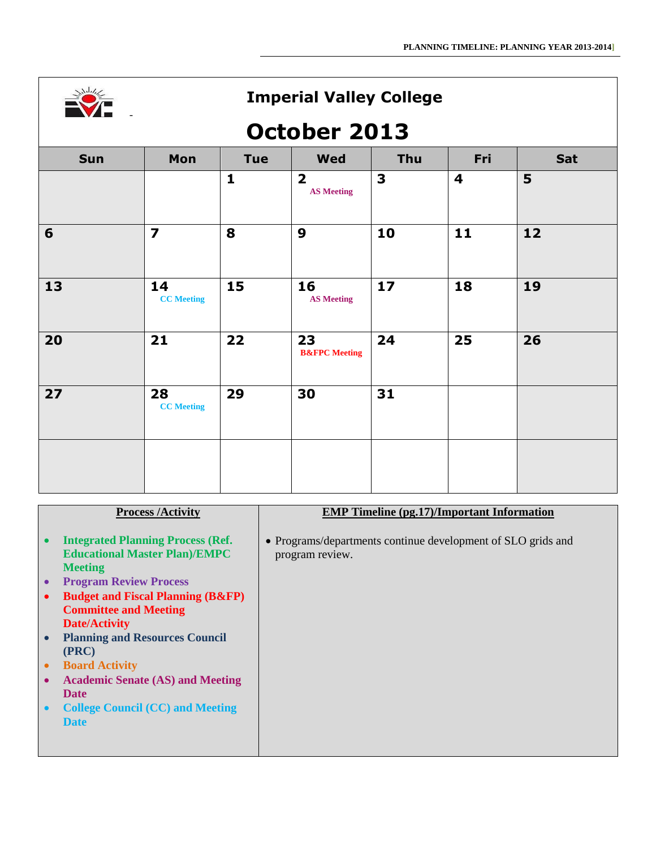

# **October 2013**

| Sun             | Mon                     | <b>Tue</b>   | <b>Wed</b>                                   | Thu | Fri | <b>Sat</b> |  |  |
|-----------------|-------------------------|--------------|----------------------------------------------|-----|-----|------------|--|--|
|                 |                         | $\mathbf{1}$ | $\overline{\mathbf{2}}$<br><b>AS Meeting</b> | 3   | 4   | 5          |  |  |
| $6\phantom{1}6$ | $\overline{\mathbf{z}}$ | 8            | 9                                            | 10  | 11  | 12         |  |  |
| 13              | 14<br><b>CC</b> Meeting | 15           | 16<br><b>AS Meeting</b>                      | 17  | 18  | 19         |  |  |
| 20              | 21                      | 22           | 23<br><b>B&amp;FPC</b> Meeting               | 24  | 25  | 26         |  |  |
| 27              | 28<br><b>CC</b> Meeting | 29           | 30                                           | 31  |     |            |  |  |
|                 |                         |              |                                              |     |     |            |  |  |

| <b>Process /Activity</b> |  |
|--------------------------|--|
|--------------------------|--|

- **Integrated Planning Process (Ref. Educational Master Plan)/EMPC Meeting**
- **Program Review Process**
- **•** Budget and Fiscal Planning (B&FP) **Committee and Meeting Date/Activity**
- **Planning and Resources Council (PRC)**
- **Board Activity**
- **Academic Senate (AS) and Meeting Date**
- **College Council (CC) and Meeting Date**

#### **EMP Timeline (pg.17)/Important Information**

 Programs/departments continue development of SLO grids and program review.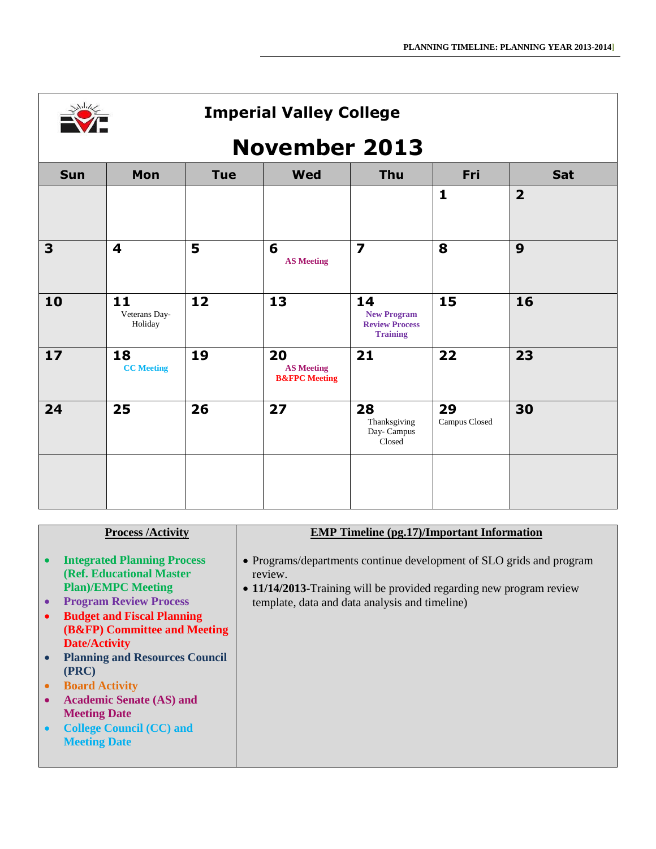|  | ران |  |
|--|-----|--|
|  |     |  |
|  |     |  |

# **November 2013**

| <b>Sun</b> | Mon                            | <b>Tue</b> | <b>Wed</b>                                          | <b>Thu</b>                                                           | Fri                 | Sat                     |
|------------|--------------------------------|------------|-----------------------------------------------------|----------------------------------------------------------------------|---------------------|-------------------------|
|            |                                |            |                                                     |                                                                      | $\mathbf{1}$        | $\overline{\mathbf{2}}$ |
| 3          | $\overline{\mathbf{4}}$        | 5          | 6<br><b>AS Meeting</b>                              | $\overline{\mathbf{z}}$                                              | 8                   | 9                       |
| 10         | 11<br>Veterans Day-<br>Holiday | 12         | 13                                                  | 14<br><b>New Program</b><br><b>Review Process</b><br><b>Training</b> | 15                  | 16                      |
| 17         | 18<br><b>CC</b> Meeting        | 19         | 20<br><b>AS Meeting</b><br><b>B&amp;FPC</b> Meeting | 21                                                                   | 22                  | 23                      |
| 24         | 25                             | 26         | 27                                                  | 28<br>Thanksgiving<br>Day- Campus<br>Closed                          | 29<br>Campus Closed | 30                      |
|            |                                |            |                                                     |                                                                      |                     |                         |

| <b>Process /Activity</b>                           | <b>EMP</b> Timeline (pg.17)/Important Information                    |
|----------------------------------------------------|----------------------------------------------------------------------|
|                                                    |                                                                      |
|                                                    |                                                                      |
| <b>Integrated Planning Process</b><br>$\bullet$    | • Programs/departments continue development of SLO grids and program |
| <b>(Ref. Educational Master)</b>                   |                                                                      |
|                                                    | review.                                                              |
| <b>Plan)/EMPC Meeting</b>                          | • 11/14/2013-Training will be provided regarding new program review  |
| <b>Program Review Process</b><br>$\bullet$         | template, data and data analysis and timeline)                       |
|                                                    |                                                                      |
| <b>Budget and Fiscal Planning</b><br>$\bullet$     |                                                                      |
| (B&FP) Committee and Meeting                       |                                                                      |
| <b>Date/Activity</b>                               |                                                                      |
|                                                    |                                                                      |
| <b>Planning and Resources Council</b><br>$\bullet$ |                                                                      |
| (PRC)                                              |                                                                      |
|                                                    |                                                                      |
| <b>Board Activity</b><br>$\bullet$                 |                                                                      |
| <b>Academic Senate (AS) and</b><br>$\bullet$       |                                                                      |
| <b>Meeting Date</b>                                |                                                                      |
|                                                    |                                                                      |
| <b>College Council (CC) and</b><br>$\bullet$       |                                                                      |
| <b>Meeting Date</b>                                |                                                                      |
|                                                    |                                                                      |
|                                                    |                                                                      |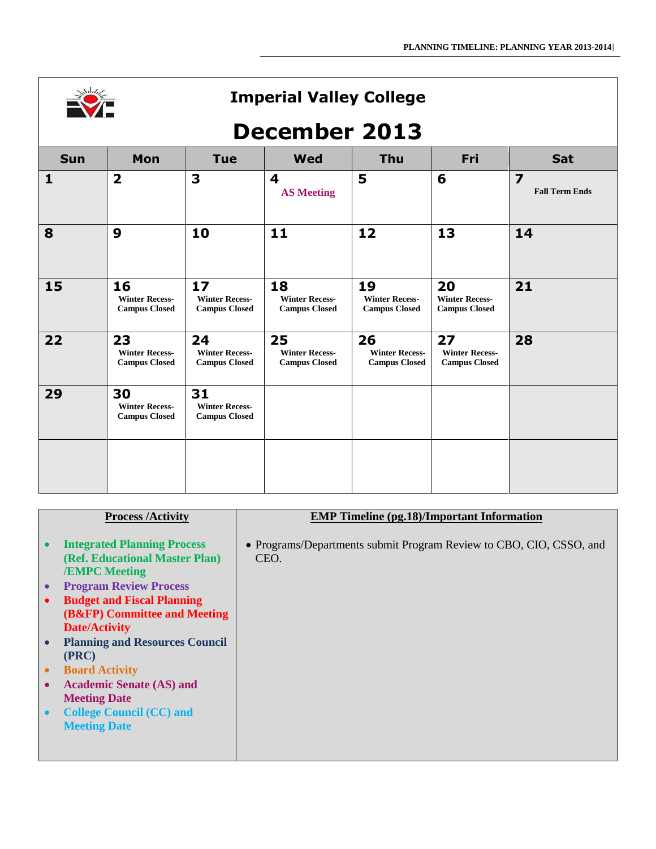

## **December 2013**

| <b>Sun</b>   | Mon                                                 | <b>Tue</b>                                          | <b>Wed</b>                                          | <b>Thu</b>                                          | Fri                                                 | <b>Sat</b>                              |
|--------------|-----------------------------------------------------|-----------------------------------------------------|-----------------------------------------------------|-----------------------------------------------------|-----------------------------------------------------|-----------------------------------------|
| $\mathbf{1}$ | $\overline{\mathbf{2}}$                             | 3                                                   | $\overline{\mathbf{4}}$<br><b>AS Meeting</b>        | 5                                                   | 6                                                   | $\overline{7}$<br><b>Fall Term Ends</b> |
| 8            | 9                                                   | 10                                                  | 11                                                  | 12                                                  | 13                                                  | 14                                      |
| 15           | 16<br><b>Winter Recess-</b><br><b>Campus Closed</b> | 17<br><b>Winter Recess-</b><br><b>Campus Closed</b> | 18<br><b>Winter Recess-</b><br><b>Campus Closed</b> | 19<br><b>Winter Recess-</b><br><b>Campus Closed</b> | 20<br><b>Winter Recess-</b><br><b>Campus Closed</b> | 21                                      |
| 22           | 23<br><b>Winter Recess-</b><br><b>Campus Closed</b> | 24<br><b>Winter Recess-</b><br><b>Campus Closed</b> | 25<br><b>Winter Recess-</b><br><b>Campus Closed</b> | 26<br><b>Winter Recess-</b><br><b>Campus Closed</b> | 27<br><b>Winter Recess-</b><br><b>Campus Closed</b> | 28                                      |
| 29           | 30<br><b>Winter Recess-</b><br><b>Campus Closed</b> | 31<br><b>Winter Recess-</b><br><b>Campus Closed</b> |                                                     |                                                     |                                                     |                                         |
|              |                                                     |                                                     |                                                     |                                                     |                                                     |                                         |

| <b>Process /Activity</b> |
|--------------------------|
|--------------------------|

- **Integrated Planning Process (Ref. Educational Master Plan) /EMPC Meeting**
- **Program Review Process**
- **Budget and Fiscal Planning (B&FP) Committee and Meeting Date/Activity**
- **Planning and Resources Council (PRC)**
- **Board Activity**
- **Academic Senate (AS) and Meeting Date**
- **College Council (CC) and Meeting Date**

#### **EMP Timeline (pg.18)/Important Information**

 Programs/Departments submit Program Review to CBO, CIO, CSSO, and CEO.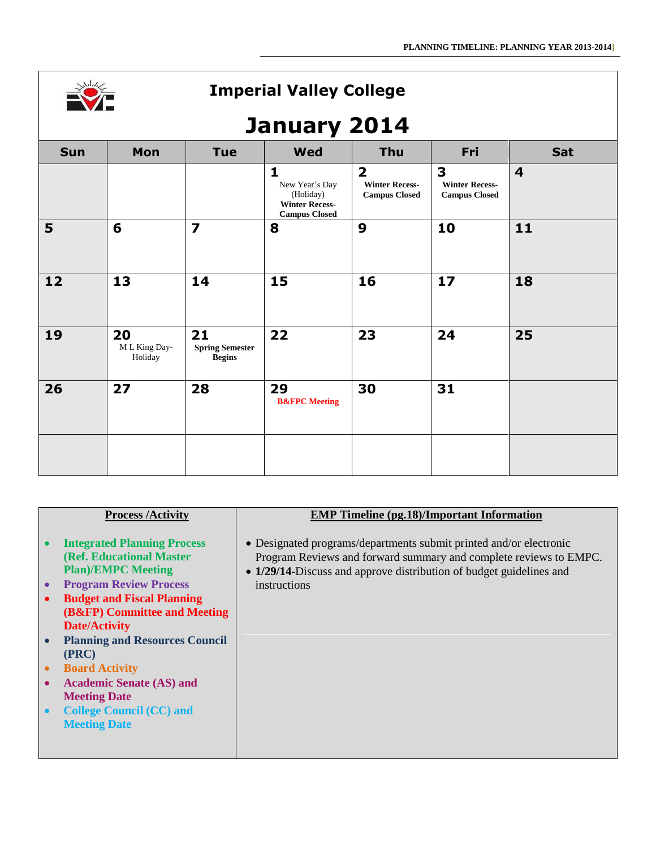

# **January 2014**

| ,,,,,,,,,,<br>---- |                                |                                               |                                                                                              |                                                                 |                                                    |                         |  |
|--------------------|--------------------------------|-----------------------------------------------|----------------------------------------------------------------------------------------------|-----------------------------------------------------------------|----------------------------------------------------|-------------------------|--|
| <b>Sun</b>         | Mon                            | <b>Tue</b>                                    | <b>Wed</b>                                                                                   | Thu                                                             | Fri                                                | Sat                     |  |
|                    |                                |                                               | $\mathbf{1}$<br>New Year's Day<br>(Holiday)<br><b>Winter Recess-</b><br><b>Campus Closed</b> | $\overline{2}$<br><b>Winter Recess-</b><br><b>Campus Closed</b> | 3<br><b>Winter Recess-</b><br><b>Campus Closed</b> | $\overline{\mathbf{4}}$ |  |
| 5                  | 6                              | $\overline{\mathbf{z}}$                       | 8                                                                                            | 9                                                               | 10                                                 | 11                      |  |
| $12$               | 13                             | 14                                            | 15                                                                                           | 16                                                              | 17                                                 | 18                      |  |
| 19                 | 20<br>M L King Day-<br>Holiday | 21<br><b>Spring Semester</b><br><b>Begins</b> | 22                                                                                           | 23                                                              | 24                                                 | 25                      |  |
| 26                 | 27                             | 28                                            | 29<br><b>B&amp;FPC</b> Meeting                                                               | 30                                                              | 31                                                 |                         |  |
|                    |                                |                                               |                                                                                              |                                                                 |                                                    |                         |  |

|                                     | <b>Process /Activity</b>                                                                                                                                                                           | <b>EMP Timeline (pg.18)/Important Information</b>                                                                                                                                                                              |
|-------------------------------------|----------------------------------------------------------------------------------------------------------------------------------------------------------------------------------------------------|--------------------------------------------------------------------------------------------------------------------------------------------------------------------------------------------------------------------------------|
| $\bullet$<br>$\bullet$              | <b>Integrated Planning Process</b><br>(Ref. Educational Master)<br><b>Plan)/EMPC Meeting</b><br><b>Program Review Process</b><br><b>Budget and Fiscal Planning</b><br>(B&FP) Committee and Meeting | • Designated programs/departments submit printed and/or electronic<br>Program Reviews and forward summary and complete reviews to EMPC.<br>• 1/29/14-Discuss and approve distribution of budget guidelines and<br>instructions |
| $\bullet$<br>$\bullet$<br>$\bullet$ | <b>Date/Activity</b><br><b>Planning and Resources Council</b><br>(PRC)<br><b>Board Activity</b><br><b>Academic Senate (AS) and</b><br><b>Meeting Date</b>                                          |                                                                                                                                                                                                                                |
| $\bullet$                           | <b>College Council (CC) and</b><br><b>Meeting Date</b>                                                                                                                                             |                                                                                                                                                                                                                                |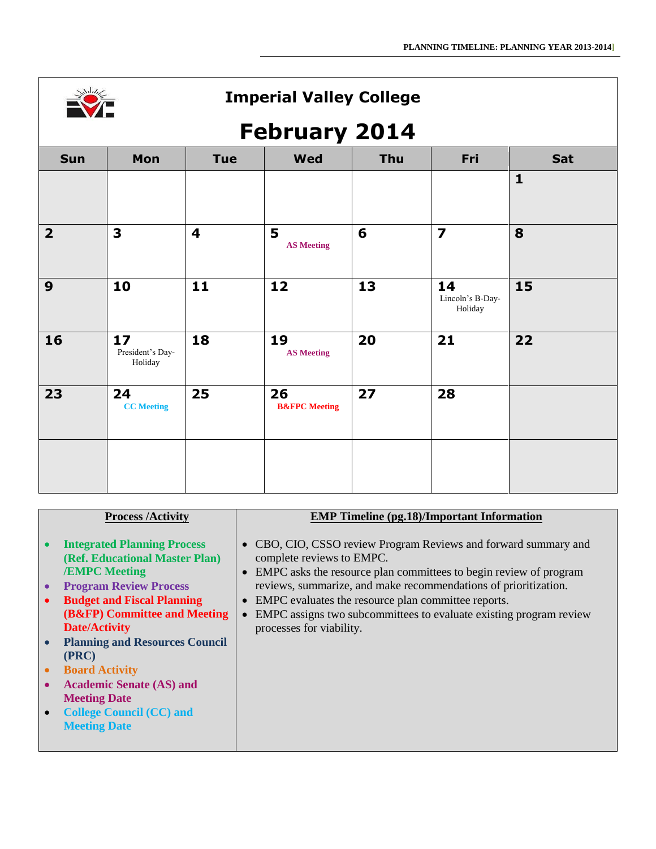

# **February 2014**

| ________<br>-           |                                   |                         |                                |     |                                   |              |
|-------------------------|-----------------------------------|-------------------------|--------------------------------|-----|-----------------------------------|--------------|
| Sun                     | Mon                               | <b>Tue</b>              | <b>Wed</b>                     | Thu | Fri                               | Sat          |
|                         |                                   |                         |                                |     |                                   | $\mathbf{1}$ |
| $\overline{\mathbf{2}}$ | $\overline{\mathbf{3}}$           | $\overline{\mathbf{4}}$ | 5<br><b>AS Meeting</b>         | 6   | $\overline{\mathbf{z}}$           | 8            |
| $\boldsymbol{9}$        | 10                                | 11                      | 12                             | 13  | 14<br>Lincoln's B-Day-<br>Holiday | 15           |
| 16                      | 17<br>President's Day-<br>Holiday | 18                      | 19<br><b>AS Meeting</b>        | 20  | 21                                | 22           |
| 23                      | 24<br><b>CC</b> Meeting           | 25                      | 26<br><b>B&amp;FPC</b> Meeting | 27  | 28                                |              |
|                         |                                   |                         |                                |     |                                   |              |

|                        | <b>Process /Activity</b>                                                                                                                                                                           | <b>EMP Timeline (pg.18)/Important Information</b>                                                                                                                                                                                                                                                                                                               |
|------------------------|----------------------------------------------------------------------------------------------------------------------------------------------------------------------------------------------------|-----------------------------------------------------------------------------------------------------------------------------------------------------------------------------------------------------------------------------------------------------------------------------------------------------------------------------------------------------------------|
|                        |                                                                                                                                                                                                    |                                                                                                                                                                                                                                                                                                                                                                 |
| $\bullet$<br>$\bullet$ | <b>Integrated Planning Process</b><br>(Ref. Educational Master Plan)<br><b>/EMPC Meeting</b><br><b>Program Review Process</b><br><b>Budget and Fiscal Planning</b><br>(B&FP) Committee and Meeting | CBO, CIO, CSSO review Program Reviews and forward summary and<br>complete reviews to EMPC.<br>EMPC asks the resource plan committees to begin review of program<br>reviews, summarize, and make recommendations of prioritization.<br>EMPC evaluates the resource plan committee reports.<br>EMPC assigns two subcommittees to evaluate existing program review |
|                        | <b>Date/Activity</b>                                                                                                                                                                               | processes for viability.                                                                                                                                                                                                                                                                                                                                        |
|                        |                                                                                                                                                                                                    |                                                                                                                                                                                                                                                                                                                                                                 |
|                        | <b>Planning and Resources Council</b>                                                                                                                                                              |                                                                                                                                                                                                                                                                                                                                                                 |
|                        | (PRC)                                                                                                                                                                                              |                                                                                                                                                                                                                                                                                                                                                                 |
| $\bullet$              | <b>Board Activity</b>                                                                                                                                                                              |                                                                                                                                                                                                                                                                                                                                                                 |
| $\bullet$              | <b>Academic Senate (AS) and</b>                                                                                                                                                                    |                                                                                                                                                                                                                                                                                                                                                                 |
|                        | <b>Meeting Date</b>                                                                                                                                                                                |                                                                                                                                                                                                                                                                                                                                                                 |
|                        | <b>College Council (CC) and</b>                                                                                                                                                                    |                                                                                                                                                                                                                                                                                                                                                                 |
|                        |                                                                                                                                                                                                    |                                                                                                                                                                                                                                                                                                                                                                 |
|                        | <b>Meeting Date</b>                                                                                                                                                                                |                                                                                                                                                                                                                                                                                                                                                                 |
|                        |                                                                                                                                                                                                    |                                                                                                                                                                                                                                                                                                                                                                 |
|                        |                                                                                                                                                                                                    |                                                                                                                                                                                                                                                                                                                                                                 |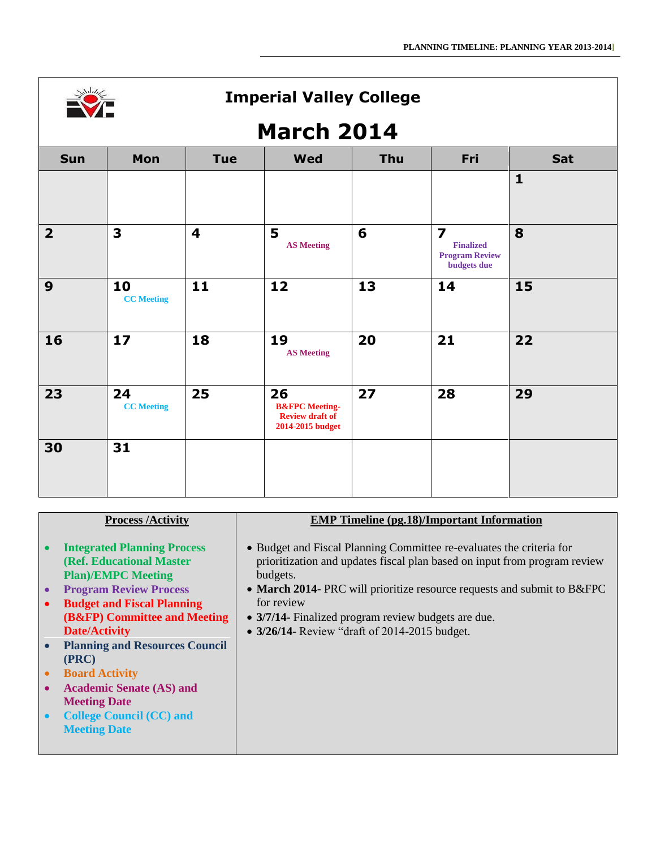

# **March 2014**

| TATAN WA<br>. . |                         |                         |                                                                               |     |                                                                                     |              |
|-----------------|-------------------------|-------------------------|-------------------------------------------------------------------------------|-----|-------------------------------------------------------------------------------------|--------------|
| <b>Sun</b>      | Mon                     | <b>Tue</b>              | <b>Wed</b>                                                                    | Thu | Fri                                                                                 | Sat          |
|                 |                         |                         |                                                                               |     |                                                                                     | $\mathbf{1}$ |
| 2 <sup>1</sup>  | 3                       | $\overline{\mathbf{4}}$ | 5<br><b>AS Meeting</b>                                                        | 6   | $\overline{\mathbf{z}}$<br><b>Finalized</b><br><b>Program Review</b><br>budgets due | 8            |
| 9               | 10<br><b>CC</b> Meeting | 11                      | 12                                                                            | 13  | 14                                                                                  | 15           |
| 16              | 17                      | 18                      | 19<br><b>AS Meeting</b>                                                       | 20  | 21                                                                                  | 22           |
| 23              | 24<br><b>CC</b> Meeting | 25                      | 26<br><b>B&amp;FPC</b> Meeting-<br><b>Review draft of</b><br>2014-2015 budget | 27  | 28                                                                                  | 29           |
| 30              | 31                      |                         |                                                                               |     |                                                                                     |              |

| • Budget and Fiscal Planning Committee re-evaluates the criteria for<br><b>Integrated Planning Process</b><br>prioritization and updates fiscal plan based on input from program review<br>(Ref. Educational Master<br><b>Plan)/EMPC Meeting</b><br>budgets.<br><b>Program Review Process</b><br>• March 2014- PRC will prioritize resource requests and submit to B&FPC<br>$\bullet$<br>for review<br><b>Budget and Fiscal Planning</b><br>$\bullet$<br>(B&FP) Committee and Meeting<br>• 3/7/14- Finalized program review budgets are due.<br><b>Date/Activity</b><br>• 3/26/14- Review "draft of 2014-2015 budget.<br><b>Planning and Resources Council</b> |
|----------------------------------------------------------------------------------------------------------------------------------------------------------------------------------------------------------------------------------------------------------------------------------------------------------------------------------------------------------------------------------------------------------------------------------------------------------------------------------------------------------------------------------------------------------------------------------------------------------------------------------------------------------------|
| (PRC)<br><b>Board Activity</b><br>$\bullet$<br><b>Academic Senate (AS) and</b><br>$\bullet$<br><b>Meeting Date</b><br><b>College Council (CC) and</b><br>$\bullet$<br><b>Meeting Date</b>                                                                                                                                                                                                                                                                                                                                                                                                                                                                      |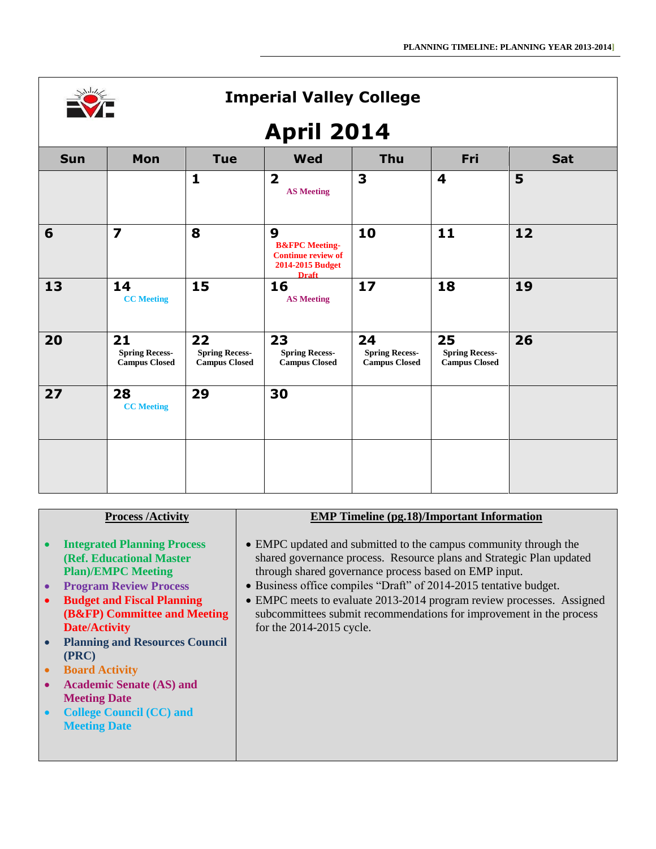

# **April 2014**

| -г         |                                                     |                                                     |                                                                                                 |                                                     |                                                     |     |
|------------|-----------------------------------------------------|-----------------------------------------------------|-------------------------------------------------------------------------------------------------|-----------------------------------------------------|-----------------------------------------------------|-----|
| <b>Sun</b> | Mon                                                 | <b>Tue</b>                                          | <b>Wed</b>                                                                                      | Thu                                                 | Fri                                                 | Sat |
|            |                                                     | $\mathbf{1}$                                        | $\overline{\mathbf{2}}$<br><b>AS Meeting</b>                                                    | 3                                                   | $\overline{\mathbf{4}}$                             | 5   |
| 6          | $\overline{\mathbf{z}}$                             | 8                                                   | 9<br><b>B&amp;FPC</b> Meeting-<br><b>Continue review of</b><br>2014-2015 Budget<br><b>Draft</b> | 10                                                  | 11                                                  | 12  |
| 13         | 14<br><b>CC</b> Meeting                             | 15                                                  | 16<br><b>AS Meeting</b>                                                                         | 17                                                  | 18                                                  | 19  |
| 20         | 21<br><b>Spring Recess-</b><br><b>Campus Closed</b> | 22<br><b>Spring Recess-</b><br><b>Campus Closed</b> | 23<br><b>Spring Recess-</b><br><b>Campus Closed</b>                                             | 24<br><b>Spring Recess-</b><br><b>Campus Closed</b> | 25<br><b>Spring Recess-</b><br><b>Campus Closed</b> | 26  |
| 27         | 28<br><b>CC</b> Meeting                             | 29                                                  | 30                                                                                              |                                                     |                                                     |     |
|            |                                                     |                                                     |                                                                                                 |                                                     |                                                     |     |

#### **Process /Activity**

- **Integrated Planning Process (Ref. Educational Master Plan)/EMPC Meeting**
- **Program Review Process**
- **Budget and Fiscal Planning (B&FP) Committee and Meeting Date/Activity**
- **Planning and Resources Council (PRC)**
- **Board Activity**
- **Academic Senate (AS) and Meeting Date**
- **College Council (CC) and Meeting Date**

#### **EMP Timeline (pg.18)/Important Information**

- EMPC updated and submitted to the campus community through the shared governance process. Resource plans and Strategic Plan updated through shared governance process based on EMP input.
- Business office compiles "Draft" of 2014-2015 tentative budget.
- EMPC meets to evaluate 2013-2014 program review processes. Assigned subcommittees submit recommendations for improvement in the process for the 2014-2015 cycle.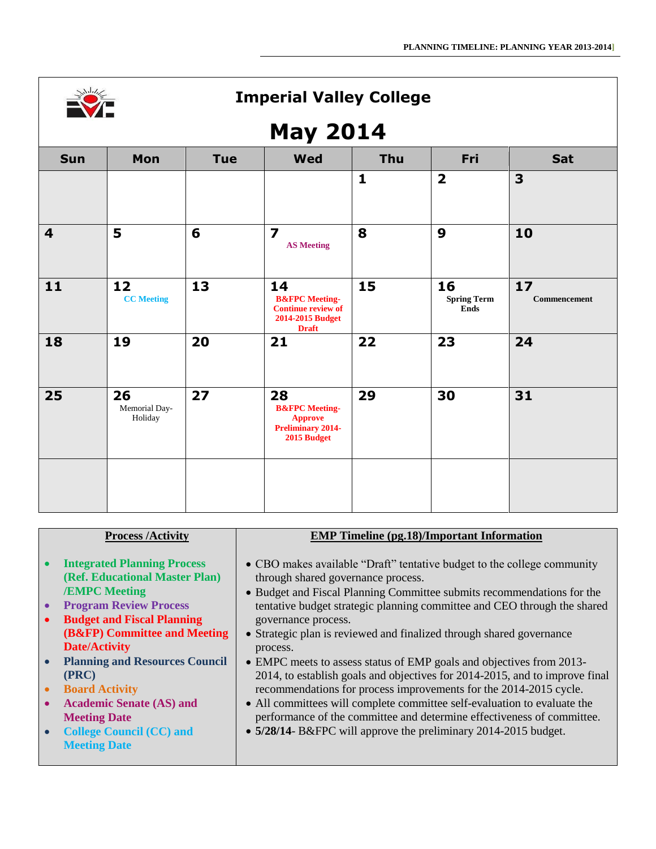

# **May 2014**

| $\cdots$ ,              |                                |            |                                                                                                  |              |                                         |                    |
|-------------------------|--------------------------------|------------|--------------------------------------------------------------------------------------------------|--------------|-----------------------------------------|--------------------|
| <b>Sun</b>              | Mon                            | <b>Tue</b> | <b>Wed</b>                                                                                       | Thu          | Fri                                     | Sat                |
|                         |                                |            |                                                                                                  | $\mathbf{1}$ | $\overline{\mathbf{2}}$                 | 3                  |
| $\overline{\mathbf{4}}$ | 5                              | 6          | $\overline{\mathbf{z}}$<br><b>AS Meeting</b>                                                     | 8            | 9                                       | 10                 |
| 11                      | 12<br><b>CC</b> Meeting        | 13         | 14<br><b>B&amp;FPC</b> Meeting-<br><b>Continue review of</b><br>2014-2015 Budget<br><b>Draft</b> | 15           | 16<br><b>Spring Term</b><br><b>Ends</b> | 17<br>Commencement |
| 18                      | 19                             | 20         | 21                                                                                               | 22           | 23                                      | 24                 |
| 25                      | 26<br>Memorial Day-<br>Holiday | 27         | 28<br><b>B&amp;FPC</b> Meeting-<br><b>Approve</b><br><b>Preliminary 2014-</b><br>2015 Budget     | 29           | 30                                      | 31                 |
|                         |                                |            |                                                                                                  |              |                                         |                    |

| <b>Process /Activity</b>                           | <b>EMP Timeline (pg.18)/Important Information</b>                           |
|----------------------------------------------------|-----------------------------------------------------------------------------|
|                                                    |                                                                             |
|                                                    |                                                                             |
| <b>Integrated Planning Process</b><br>$\bullet$    | • CBO makes available "Draft" tentative budget to the college community     |
|                                                    |                                                                             |
| (Ref. Educational Master Plan)                     | through shared governance process.                                          |
| <b>/EMPC Meeting</b>                               | • Budget and Fiscal Planning Committee submits recommendations for the      |
| <b>Program Review Process</b><br>$\bullet$         | tentative budget strategic planning committee and CEO through the shared    |
|                                                    |                                                                             |
| <b>Budget and Fiscal Planning</b><br>$\bullet$     | governance process.                                                         |
| (B&FP) Committee and Meeting                       | • Strategic plan is reviewed and finalized through shared governance        |
| <b>Date/Activity</b>                               |                                                                             |
|                                                    | process.                                                                    |
| <b>Planning and Resources Council</b><br>$\bullet$ | • EMPC meets to assess status of EMP goals and objectives from 2013-        |
| (PRC)                                              | 2014, to establish goals and objectives for 2014-2015, and to improve final |
|                                                    |                                                                             |
| <b>Board Activity</b><br>$\bullet$                 | recommendations for process improvements for the 2014-2015 cycle.           |
| <b>Academic Senate (AS) and</b><br>$\bullet$       | • All committees will complete committee self-evaluation to evaluate the    |
| <b>Meeting Date</b>                                | performance of the committee and determine effectiveness of committee.      |
|                                                    |                                                                             |
| <b>College Council (CC) and</b>                    | • 5/28/14- B&FPC will approve the preliminary 2014-2015 budget.             |
| <b>Meeting Date</b>                                |                                                                             |
|                                                    |                                                                             |
|                                                    |                                                                             |